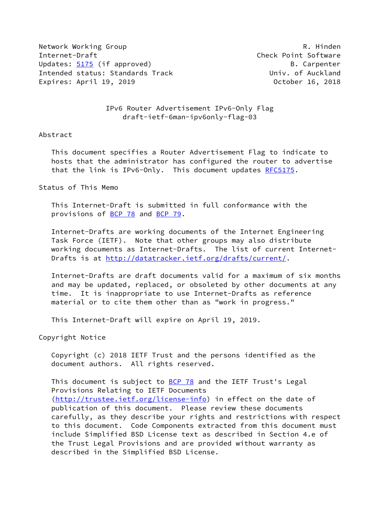Network Working Group **R. Hinden** Internet-Draft Check Point Software Updates: [5175](https://datatracker.ietf.org/doc/pdf/rfc5175) (if approved) and the set of the B. Carpenter Intended status: Standards Track and Univ. of Auckland Expires: April 19, 2019 October 16, 2018

 IPv6 Router Advertisement IPv6-Only Flag draft-ietf-6man-ipv6only-flag-03

### Abstract

 This document specifies a Router Advertisement Flag to indicate to hosts that the administrator has configured the router to advertise that the link is IPv6-Only. This document updates [RFC5175](https://datatracker.ietf.org/doc/pdf/rfc5175).

## Status of This Memo

 This Internet-Draft is submitted in full conformance with the provisions of [BCP 78](https://datatracker.ietf.org/doc/pdf/bcp78) and [BCP 79](https://datatracker.ietf.org/doc/pdf/bcp79).

 Internet-Drafts are working documents of the Internet Engineering Task Force (IETF). Note that other groups may also distribute working documents as Internet-Drafts. The list of current Internet Drafts is at<http://datatracker.ietf.org/drafts/current/>.

 Internet-Drafts are draft documents valid for a maximum of six months and may be updated, replaced, or obsoleted by other documents at any time. It is inappropriate to use Internet-Drafts as reference material or to cite them other than as "work in progress."

This Internet-Draft will expire on April 19, 2019.

Copyright Notice

 Copyright (c) 2018 IETF Trust and the persons identified as the document authors. All rights reserved.

This document is subject to [BCP 78](https://datatracker.ietf.org/doc/pdf/bcp78) and the IETF Trust's Legal Provisions Relating to IETF Documents [\(http://trustee.ietf.org/license-info](http://trustee.ietf.org/license-info)) in effect on the date of publication of this document. Please review these documents carefully, as they describe your rights and restrictions with respect to this document. Code Components extracted from this document must include Simplified BSD License text as described in Section 4.e of the Trust Legal Provisions and are provided without warranty as described in the Simplified BSD License.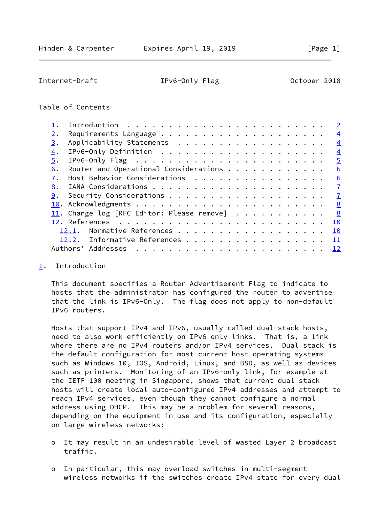<span id="page-1-1"></span>Internet-Draft TPv6-Only Flag October 2018

### Table of Contents

|                  |                                                                   | $\overline{2}$          |
|------------------|-------------------------------------------------------------------|-------------------------|
| 2.               |                                                                   | $\overline{4}$          |
| 3.               | Applicability Statements                                          | $\overline{4}$          |
| $\overline{4}$ . |                                                                   | $\overline{4}$          |
| 5.               | IPv6-Only Flag $\ldots \ldots \ldots \ldots \ldots \ldots \ldots$ | $\overline{5}$          |
| 6.               | Router and Operational Considerations                             | 6                       |
| 7.               | Host Behavior Considerations                                      | 6                       |
| 8.               |                                                                   | $\mathbf{I}$            |
| 9.               |                                                                   | $\mathbf{Z}$            |
|                  |                                                                   | $\overline{\mathbf{8}}$ |
|                  | 11. Change log [RFC Editor: Please remove] $\ldots \ldots \ldots$ | 8                       |
|                  |                                                                   | 10                      |
|                  | Normative References<br>12.1.                                     | 10                      |
|                  | 12.2. Informative References                                      | 11                      |
|                  | Addresses<br>Authors'                                             | 12                      |
|                  |                                                                   |                         |

<span id="page-1-0"></span>[1](#page-1-0). Introduction

 This document specifies a Router Advertisement Flag to indicate to hosts that the administrator has configured the router to advertise that the link is IPv6-Only. The flag does not apply to non-default IPv6 routers.

 Hosts that support IPv4 and IPv6, usually called dual stack hosts, need to also work efficiently on IPv6 only links. That is, a link where there are no IPv4 routers and/or IPv4 services. Dual stack is the default configuration for most current host operating systems such as Windows 10, IOS, Android, Linux, and BSD, as well as devices such as printers. Monitoring of an IPv6-only link, for example at the IETF 100 meeting in Singapore, shows that current dual stack hosts will create local auto-configured IPv4 addresses and attempt to reach IPv4 services, even though they cannot configure a normal address using DHCP. This may be a problem for several reasons, depending on the equipment in use and its configuration, especially on large wireless networks:

- o It may result in an undesirable level of wasted Layer 2 broadcast traffic.
- o In particular, this may overload switches in multi-segment wireless networks if the switches create IPv4 state for every dual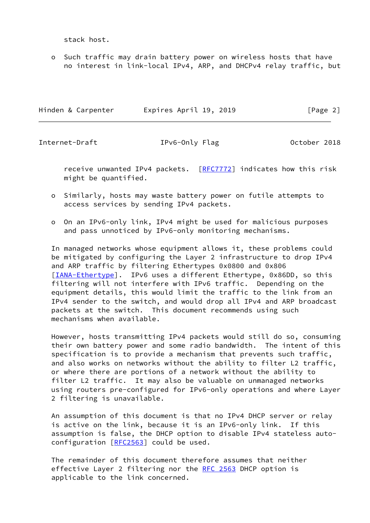stack host.

 o Such traffic may drain battery power on wireless hosts that have no interest in link-local IPv4, ARP, and DHCPv4 relay traffic, but

| Hinden & Carpenter | Expires April 19, 2019 | [Page 2] |
|--------------------|------------------------|----------|
|                    |                        |          |

Internet-Draft IPv6-Only Flag October 2018

receive unwanted IPv4 packets. [[RFC7772\]](https://datatracker.ietf.org/doc/pdf/rfc7772) indicates how this risk might be quantified.

- o Similarly, hosts may waste battery power on futile attempts to access services by sending IPv4 packets.
- o On an IPv6-only link, IPv4 might be used for malicious purposes and pass unnoticed by IPv6-only monitoring mechanisms.

 In managed networks whose equipment allows it, these problems could be mitigated by configuring the Layer 2 infrastructure to drop IPv4 and ARP traffic by filtering Ethertypes 0x0800 and 0x806 [\[IANA-Ethertype](#page-10-3)]. IPv6 uses a different Ethertype, 0x86DD, so this filtering will not interfere with IPv6 traffic. Depending on the equipment details, this would limit the traffic to the link from an IPv4 sender to the switch, and would drop all IPv4 and ARP broadcast packets at the switch. This document recommends using such mechanisms when available.

 However, hosts transmitting IPv4 packets would still do so, consuming their own battery power and some radio bandwidth. The intent of this specification is to provide a mechanism that prevents such traffic, and also works on networks without the ability to filter L2 traffic, or where there are portions of a network without the ability to filter L2 traffic. It may also be valuable on unmanaged networks using routers pre-configured for IPv6-only operations and where Layer 2 filtering is unavailable.

 An assumption of this document is that no IPv4 DHCP server or relay is active on the link, because it is an IPv6-only link. If this assumption is false, the DHCP option to disable IPv4 stateless auto configuration  $[REC2563]$  could be used.

 The remainder of this document therefore assumes that neither effective Layer 2 filtering nor the [RFC 2563](https://datatracker.ietf.org/doc/pdf/rfc2563) DHCP option is applicable to the link concerned.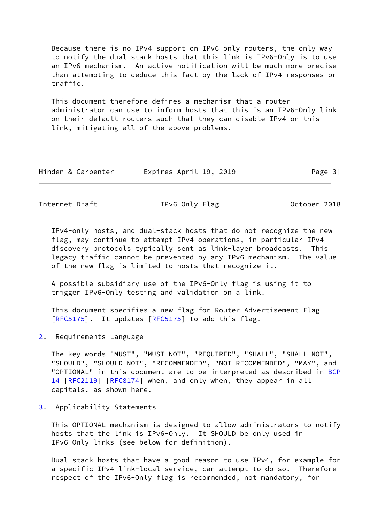Because there is no IPv4 support on IPv6-only routers, the only way to notify the dual stack hosts that this link is IPv6-Only is to use an IPv6 mechanism. An active notification will be much more precise than attempting to deduce this fact by the lack of IPv4 responses or traffic.

 This document therefore defines a mechanism that a router administrator can use to inform hosts that this is an IPv6-Only link on their default routers such that they can disable IPv4 on this link, mitigating all of the above problems.

|  |  | Hinden & Carpenter | Expires April 19, 2019 |  |  |  | [Page 3] |  |
|--|--|--------------------|------------------------|--|--|--|----------|--|
|--|--|--------------------|------------------------|--|--|--|----------|--|

<span id="page-3-1"></span>Internet-Draft IPv6-Only Flag October 2018

 IPv4-only hosts, and dual-stack hosts that do not recognize the new flag, may continue to attempt IPv4 operations, in particular IPv4 discovery protocols typically sent as link-layer broadcasts. This legacy traffic cannot be prevented by any IPv6 mechanism. The value of the new flag is limited to hosts that recognize it.

 A possible subsidiary use of the IPv6-Only flag is using it to trigger IPv6-Only testing and validation on a link.

 This document specifies a new flag for Router Advertisement Flag [\[RFC5175](https://datatracker.ietf.org/doc/pdf/rfc5175)]. It updates [RFC5175] to add this flag.

<span id="page-3-0"></span>[2](#page-3-0). Requirements Language

 The key words "MUST", "MUST NOT", "REQUIRED", "SHALL", "SHALL NOT", "SHOULD", "SHOULD NOT", "RECOMMENDED", "NOT RECOMMENDED", "MAY", and "OPTIONAL" in this document are to be interpreted as described in [BCP](https://datatracker.ietf.org/doc/pdf/bcp14) [14](https://datatracker.ietf.org/doc/pdf/bcp14) [[RFC2119\]](https://datatracker.ietf.org/doc/pdf/rfc2119) [\[RFC8174](https://datatracker.ietf.org/doc/pdf/rfc8174)] when, and only when, they appear in all capitals, as shown here.

<span id="page-3-2"></span>[3](#page-3-2). Applicability Statements

 This OPTIONAL mechanism is designed to allow administrators to notify hosts that the link is IPv6-Only. It SHOULD be only used in IPv6-Only links (see below for definition).

 Dual stack hosts that have a good reason to use IPv4, for example for a specific IPv4 link-local service, can attempt to do so. Therefore respect of the IPv6-Only flag is recommended, not mandatory, for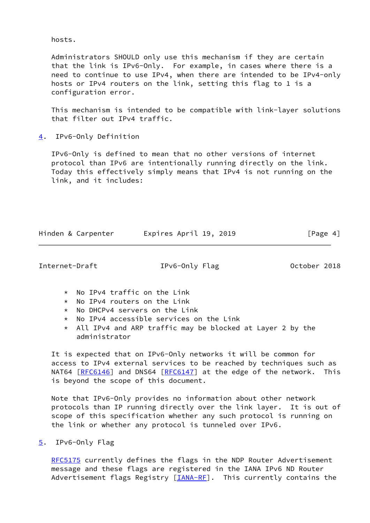hosts.

 Administrators SHOULD only use this mechanism if they are certain that the link is IPv6-Only. For example, in cases where there is a need to continue to use IPv4, when there are intended to be IPv4-only hosts or IPv4 routers on the link, setting this flag to 1 is a configuration error.

 This mechanism is intended to be compatible with link-layer solutions that filter out IPv4 traffic.

<span id="page-4-0"></span>[4](#page-4-0). IPv6-Only Definition

 IPv6-Only is defined to mean that no other versions of internet protocol than IPv6 are intentionally running directly on the link. Today this effectively simply means that IPv4 is not running on the link, and it includes:

Hinden & Carpenter **Expires April 19, 2019** [Page 4]

<span id="page-4-2"></span>Internet-Draft TPv6-Only Flag October 2018

- \* No IPv4 traffic on the Link
- \* No IPv4 routers on the Link
- \* No DHCPv4 servers on the Link
- \* No IPv4 accessible services on the Link
- $*$  All IPv4 and ARP traffic may be blocked at Layer 2 by the administrator

 It is expected that on IPv6-Only networks it will be common for access to IPv4 external services to be reached by techniques such as NAT64 [[RFC6146](https://datatracker.ietf.org/doc/pdf/rfc6146)] and DNS64 [[RFC6147](https://datatracker.ietf.org/doc/pdf/rfc6147)] at the edge of the network. This is beyond the scope of this document.

 Note that IPv6-Only provides no information about other network protocols than IP running directly over the link layer. It is out of scope of this specification whether any such protocol is running on the link or whether any protocol is tunneled over IPv6.

<span id="page-4-1"></span>[5](#page-4-1). IPv6-Only Flag

[RFC5175](https://datatracker.ietf.org/doc/pdf/rfc5175) currently defines the flags in the NDP Router Advertisement message and these flags are registered in the IANA IPv6 ND Router Advertisement flags Registry  $[\underline{IANA-RF}]$ . This currently contains the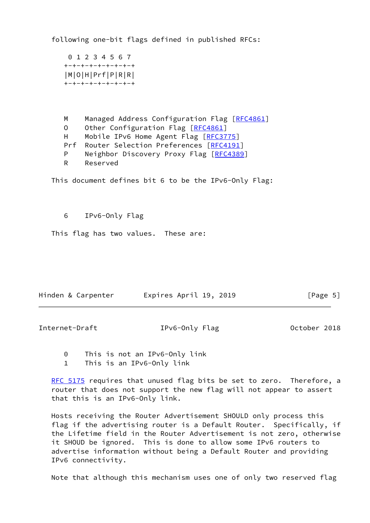following one-bit flags defined in published RFCs:

```
 0 1 2 3 4 5 6 7
+-+-+-+-+-+-+-+-+
|M|O|H|Prf|P|R|R|
+-+-+-+-+-+-+-+-+
```
M Managed Address Configuration Flag [[RFC4861\]](https://datatracker.ietf.org/doc/pdf/rfc4861) O Other Configuration Flag [\[RFC4861](https://datatracker.ietf.org/doc/pdf/rfc4861)] H Mobile IPv6 Home Agent Flag [\[RFC3775](https://datatracker.ietf.org/doc/pdf/rfc3775)] Prf Router Selection Preferences [\[RFC4191](https://datatracker.ietf.org/doc/pdf/rfc4191)] P Neighbor Discovery Proxy Flag [[RFC4389](https://datatracker.ietf.org/doc/pdf/rfc4389)] R Reserved

This document defines bit 6 to be the IPv6-Only Flag:

6 IPv6-Only Flag

This flag has two values. These are:

| Hinden & Carpenter | Expires April 19, 2019 | [Page 5] |
|--------------------|------------------------|----------|

<span id="page-5-0"></span>Internet-Draft IPv6-Only Flag October 2018

0 This is not an IPv6-Only link

1 This is an IPv6-Only link

[RFC 5175](https://datatracker.ietf.org/doc/pdf/rfc5175) requires that unused flag bits be set to zero. Therefore, a router that does not support the new flag will not appear to assert that this is an IPv6-Only link.

 Hosts receiving the Router Advertisement SHOULD only process this flag if the advertising router is a Default Router. Specifically, if the Lifetime field in the Router Advertisement is not zero, otherwise it SHOUD be ignored. This is done to allow some IPv6 routers to advertise information without being a Default Router and providing IPv6 connectivity.

Note that although this mechanism uses one of only two reserved flag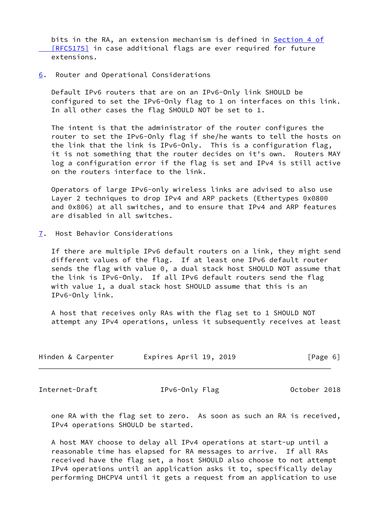bits in the RA, an extension mechanism is defined in [Section](https://datatracker.ietf.org/doc/pdf/rfc5175#section-4) 4 of [RFC5175] in case additional flags are ever required for future extensions.

<span id="page-6-0"></span>[6](#page-6-0). Router and Operational Considerations

 Default IPv6 routers that are on an IPv6-Only link SHOULD be configured to set the IPv6-Only flag to 1 on interfaces on this link. In all other cases the flag SHOULD NOT be set to 1.

 The intent is that the administrator of the router configures the router to set the IPv6-Only flag if she/he wants to tell the hosts on the link that the link is IPv6-Only. This is a configuration flag, it is not something that the router decides on it's own. Routers MAY log a configuration error if the flag is set and IPv4 is still active on the routers interface to the link.

 Operators of large IPv6-only wireless links are advised to also use Layer 2 techniques to drop IPv4 and ARP packets (Ethertypes 0x0800 and 0x806) at all switches, and to ensure that IPv4 and ARP features are disabled in all switches.

<span id="page-6-1"></span>[7](#page-6-1). Host Behavior Considerations

 If there are multiple IPv6 default routers on a link, they might send different values of the flag. If at least one IPv6 default router sends the flag with value 0, a dual stack host SHOULD NOT assume that the link is IPv6-Only. If all IPv6 default routers send the flag with value 1, a dual stack host SHOULD assume that this is an IPv6-Only link.

 A host that receives only RAs with the flag set to 1 SHOULD NOT attempt any IPv4 operations, unless it subsequently receives at least

| Expires April 19, 2019<br>Hinden & Carpenter<br>[Page 6] |  |  |
|----------------------------------------------------------|--|--|
|----------------------------------------------------------|--|--|

<span id="page-6-2"></span>Internet-Draft TPv6-Only Flag October 2018

 one RA with the flag set to zero. As soon as such an RA is received, IPv4 operations SHOULD be started.

 A host MAY choose to delay all IPv4 operations at start-up until a reasonable time has elapsed for RA messages to arrive. If all RAs received have the flag set, a host SHOULD also choose to not attempt IPv4 operations until an application asks it to, specifically delay performing DHCPV4 until it gets a request from an application to use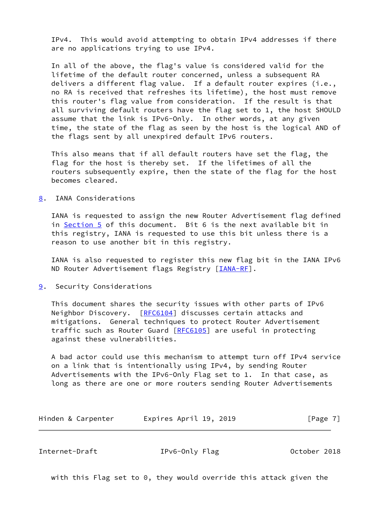IPv4. This would avoid attempting to obtain IPv4 addresses if there are no applications trying to use IPv4.

 In all of the above, the flag's value is considered valid for the lifetime of the default router concerned, unless a subsequent RA delivers a different flag value. If a default router expires (i.e., no RA is received that refreshes its lifetime), the host must remove this router's flag value from consideration. If the result is that all surviving default routers have the flag set to 1, the host SHOULD assume that the link is IPv6-Only. In other words, at any given time, the state of the flag as seen by the host is the logical AND of the flags sent by all unexpired default IPv6 routers.

 This also means that if all default routers have set the flag, the flag for the host is thereby set. If the lifetimes of all the routers subsequently expire, then the state of the flag for the host becomes cleared.

<span id="page-7-0"></span>[8](#page-7-0). IANA Considerations

 IANA is requested to assign the new Router Advertisement flag defined in [Section 5](#page-4-1) of this document. Bit 6 is the next available bit in this registry, IANA is requested to use this bit unless there is a reason to use another bit in this registry.

 IANA is also requested to register this new flag bit in the IANA IPv6 ND Router Advertisement flags Registry [\[IANA-RF](#page-10-4)].

<span id="page-7-1"></span>[9](#page-7-1). Security Considerations

 This document shares the security issues with other parts of IPv6 Neighbor Discovery. [\[RFC6104](https://datatracker.ietf.org/doc/pdf/rfc6104)] discusses certain attacks and mitigations. General techniques to protect Router Advertisement traffic such as Router Guard [\[RFC6105](https://datatracker.ietf.org/doc/pdf/rfc6105)] are useful in protecting against these vulnerabilities.

 A bad actor could use this mechanism to attempt turn off IPv4 service on a link that is intentionally using IPv4, by sending Router Advertisements with the IPv6-Only Flag set to 1. In that case, as long as there are one or more routers sending Router Advertisements

| Hinden & Carpenter | Expires April 19, 2019 | [Page 7] |
|--------------------|------------------------|----------|
|--------------------|------------------------|----------|

<span id="page-7-2"></span>Internet-Draft IPv6-Only Flag October 2018

with this Flag set to 0, they would override this attack given the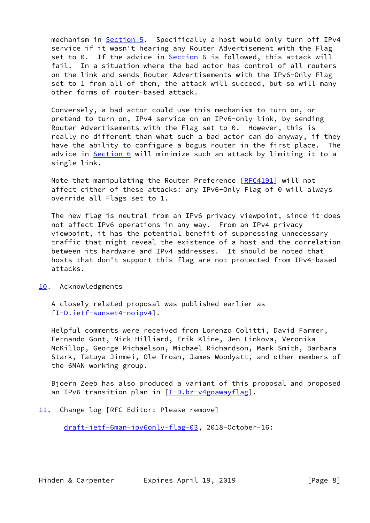mechanism in [Section 5](#page-4-1). Specifically a host would only turn off IPv4 service if it wasn't hearing any Router Advertisement with the Flag set to 0. If the advice in [Section 6](#page-6-0) is followed, this attack will fail. In a situation where the bad actor has control of all routers on the link and sends Router Advertisements with the IPv6-Only Flag set to 1 from all of them, the attack will succeed, but so will many other forms of router-based attack.

 Conversely, a bad actor could use this mechanism to turn on, or pretend to turn on, IPv4 service on an IPv6-only link, by sending Router Advertisements with the Flag set to 0. However, this is really no different than what such a bad actor can do anyway, if they have the ability to configure a bogus router in the first place. The advice in [Section 6](#page-6-0) will minimize such an attack by limiting it to a single link.

 Note that manipulating the Router Preference [\[RFC4191](https://datatracker.ietf.org/doc/pdf/rfc4191)] will not affect either of these attacks: any IPv6-Only Flag of 0 will always override all Flags set to 1.

 The new flag is neutral from an IPv6 privacy viewpoint, since it does not affect IPv6 operations in any way. From an IPv4 privacy viewpoint, it has the potential benefit of suppressing unnecessary traffic that might reveal the existence of a host and the correlation between its hardware and IPv4 addresses. It should be noted that hosts that don't support this flag are not protected from IPv4-based attacks.

# <span id="page-8-0"></span>[10.](#page-8-0) Acknowledgments

 A closely related proposal was published earlier as [\[I-D.ietf-sunset4-noipv4](#page-11-2)].

 Helpful comments were received from Lorenzo Colitti, David Farmer, Fernando Gont, Nick Hilliard, Erik Kline, Jen Linkova, Veronika McKillop, George Michaelson, Michael Richardson, Mark Smith, Barbara Stark, Tatuya Jinmei, Ole Troan, James Woodyatt, and other members of the 6MAN working group.

 Bjoern Zeeb has also produced a variant of this proposal and proposed an IPv6 transition plan in  $[I-D.bz-v4g_0awayflag]$ .

<span id="page-8-1"></span>[11.](#page-8-1) Change log [RFC Editor: Please remove]

[draft-ietf-6man-ipv6only-flag-03,](https://datatracker.ietf.org/doc/pdf/draft-ietf-6man-ipv6only-flag-03) 2018-October-16: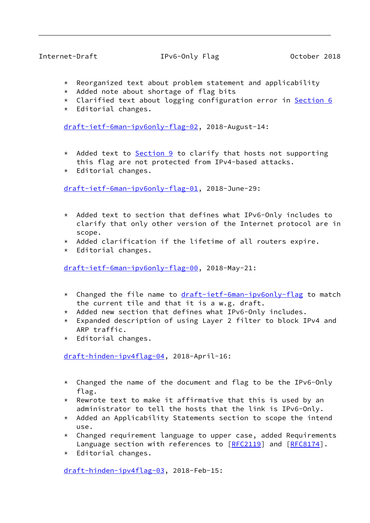# Internet-Draft IPv6-Only Flag October 2018

- \* Reorganized text about problem statement and applicability
- \* Added note about shortage of flag bits
- \* Clarified text about logging configuration error in [Section 6](#page-6-0)
- \* Editorial changes.

[draft-ietf-6man-ipv6only-flag-02,](https://datatracker.ietf.org/doc/pdf/draft-ietf-6man-ipv6only-flag-02) 2018-August-14:

- \* Added text to [Section 9](#page-7-1) to clarify that hosts not supporting this flag are not protected from IPv4-based attacks.
- \* Editorial changes.

[draft-ietf-6man-ipv6only-flag-01,](https://datatracker.ietf.org/doc/pdf/draft-ietf-6man-ipv6only-flag-01) 2018-June-29:

- \* Added text to section that defines what IPv6-Only includes to clarify that only other version of the Internet protocol are in scope.
- $*$  Added clarification if the lifetime of all routers expire.
- \* Editorial changes.

[draft-ietf-6man-ipv6only-flag-00,](https://datatracker.ietf.org/doc/pdf/draft-ietf-6man-ipv6only-flag-00) 2018-May-21:

- \* Changed the file name to [draft-ietf-6man-ipv6only-flag](https://datatracker.ietf.org/doc/pdf/draft-ietf-6man-ipv6only-flag) to match the current tile and that it is a w.g. draft.
- \* Added new section that defines what IPv6-Only includes.
- \* Expanded description of using Layer 2 filter to block IPv4 and ARP traffic.
- \* Editorial changes.

[draft-hinden-ipv4flag-04,](https://datatracker.ietf.org/doc/pdf/draft-hinden-ipv4flag-04) 2018-April-16:

- \* Changed the name of the document and flag to be the IPv6-Only flag.
- $*$  Rewrote text to make it affirmative that this is used by an administrator to tell the hosts that the link is IPv6-Only.
- \* Added an Applicability Statements section to scope the intend use.
- \* Changed requirement language to upper case, added Requirements Language section with references to [[RFC2119](https://datatracker.ietf.org/doc/pdf/rfc2119)] and [\[RFC8174](https://datatracker.ietf.org/doc/pdf/rfc8174)].
- \* Editorial changes.

[draft-hinden-ipv4flag-03,](https://datatracker.ietf.org/doc/pdf/draft-hinden-ipv4flag-03) 2018-Feb-15: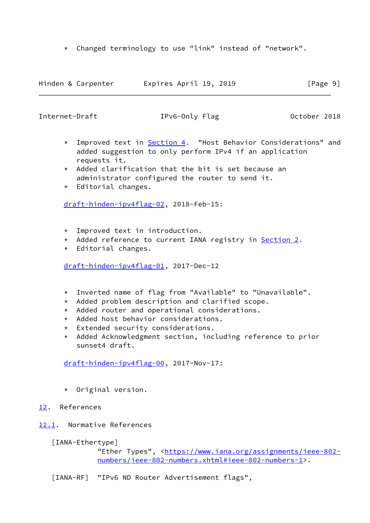\* Changed terminology to use "link" instead of "network".

| Hinden & Carpenter | Expires April 19, 2019 | [Page 9] |
|--------------------|------------------------|----------|
|--------------------|------------------------|----------|

<span id="page-10-1"></span>Internet-Draft TPv6-Only Flag Detober 2018

- \* Improved text in [Section 4.](#page-4-0) "Host Behavior Considerations" and added suggestion to only perform IPv4 if an application requests it.
- $*$  Added clarification that the bit is set because an administrator configured the router to send it.
- \* Editorial changes.

[draft-hinden-ipv4flag-02,](https://datatracker.ietf.org/doc/pdf/draft-hinden-ipv4flag-02) 2018-Feb-15:

- \* Improved text in introduction.
- \* Added reference to current IANA registry in [Section 2.](#page-3-0)
- \* Editorial changes.

[draft-hinden-ipv4flag-01,](https://datatracker.ietf.org/doc/pdf/draft-hinden-ipv4flag-01) 2017-Dec-12

- \* Inverted name of flag from "Available" to "Unavailable".
- \* Added problem description and clarified scope.
- \* Added router and operational considerations.
- \* Added host behavior considerations.
- \* Extended security considerations.
- \* Added Acknowledgment section, including reference to prior sunset4 draft.

[draft-hinden-ipv4flag-00,](https://datatracker.ietf.org/doc/pdf/draft-hinden-ipv4flag-00) 2017-Nov-17:

- \* Original version.
- <span id="page-10-0"></span>[12.](#page-10-0) References
- <span id="page-10-2"></span>[12.1](#page-10-2). Normative References

<span id="page-10-3"></span>[IANA-Ethertype]

"Ether Types", <[https://www.iana.org/assignments/ieee-802](https://www.iana.org/assignments/ieee-802-numbers/ieee-802-numbers.xhtml#ieee-802-numbers-1) [numbers/ieee-802-numbers.xhtml#ieee-802-numbers-1>](https://www.iana.org/assignments/ieee-802-numbers/ieee-802-numbers.xhtml#ieee-802-numbers-1).

<span id="page-10-4"></span>[IANA-RF] "IPv6 ND Router Advertisement flags",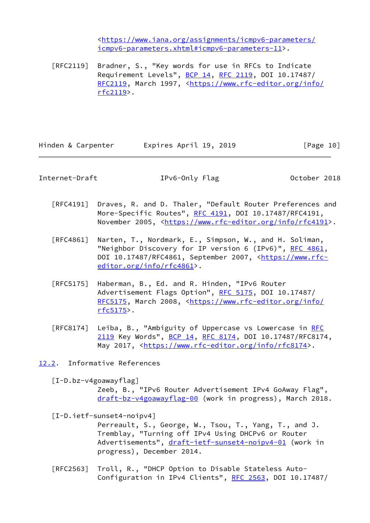<[https://www.iana.org/assignments/icmpv6-parameters/](https://www.iana.org/assignments/icmpv6-parameters/icmpv6-parameters.xhtml#icmpv6-parameters-11) [icmpv6-parameters.xhtml#icmpv6-parameters-11>](https://www.iana.org/assignments/icmpv6-parameters/icmpv6-parameters.xhtml#icmpv6-parameters-11).

 [RFC2119] Bradner, S., "Key words for use in RFCs to Indicate Requirement Levels", [BCP 14](https://datatracker.ietf.org/doc/pdf/bcp14), [RFC 2119](https://datatracker.ietf.org/doc/pdf/rfc2119), DOI 10.17487/ [RFC2119](https://datatracker.ietf.org/doc/pdf/rfc2119), March 1997, [<https://www.rfc-editor.org/info/](https://www.rfc-editor.org/info/rfc2119) [rfc2119](https://www.rfc-editor.org/info/rfc2119)>.

Hinden & Carpenter Fxpires April 19, 2019 [Page 10]

<span id="page-11-1"></span>Internet-Draft IPv6-Only Flag October 2018

- [RFC4191] Draves, R. and D. Thaler, "Default Router Preferences and More-Specific Routes", [RFC 4191](https://datatracker.ietf.org/doc/pdf/rfc4191), DOI 10.17487/RFC4191, November 2005, <<https://www.rfc-editor.org/info/rfc4191>>.
- [RFC4861] Narten, T., Nordmark, E., Simpson, W., and H. Soliman, "Neighbor Discovery for IP version 6 (IPv6)", [RFC 4861](https://datatracker.ietf.org/doc/pdf/rfc4861), DOI 10.17487/RFC4861, September 2007, [<https://www.rfc](https://www.rfc-editor.org/info/rfc4861) [editor.org/info/rfc4861](https://www.rfc-editor.org/info/rfc4861)>.
- [RFC5175] Haberman, B., Ed. and R. Hinden, "IPv6 Router Advertisement Flags Option", [RFC 5175](https://datatracker.ietf.org/doc/pdf/rfc5175), DOI 10.17487/ [RFC5175](https://datatracker.ietf.org/doc/pdf/rfc5175), March 2008, [<https://www.rfc-editor.org/info/](https://www.rfc-editor.org/info/rfc5175) [rfc5175](https://www.rfc-editor.org/info/rfc5175)>.
- [RFC8174] Leiba, B., "Ambiguity of Uppercase vs Lowercase in [RFC](https://datatracker.ietf.org/doc/pdf/rfc2119) [2119](https://datatracker.ietf.org/doc/pdf/rfc2119) Key Words", [BCP 14](https://datatracker.ietf.org/doc/pdf/bcp14), [RFC 8174,](https://datatracker.ietf.org/doc/pdf/rfc8174) DOI 10.17487/RFC8174, May 2017, [<https://www.rfc-editor.org/info/rfc8174](https://www.rfc-editor.org/info/rfc8174)>.
- <span id="page-11-0"></span>[12.2](#page-11-0). Informative References

<span id="page-11-3"></span> [I-D.bz-v4goawayflag] Zeeb, B., "IPv6 Router Advertisement IPv4 GoAway Flag", [draft-bz-v4goawayflag-00](https://datatracker.ietf.org/doc/pdf/draft-bz-v4goawayflag-00) (work in progress), March 2018.

<span id="page-11-2"></span> [I-D.ietf-sunset4-noipv4] Perreault, S., George, W., Tsou, T., Yang, T., and J. Tremblay, "Turning off IPv4 Using DHCPv6 or Router Advertisements", [draft-ietf-sunset4-noipv4-01](https://datatracker.ietf.org/doc/pdf/draft-ietf-sunset4-noipv4-01) (work in progress), December 2014.

 [RFC2563] Troll, R., "DHCP Option to Disable Stateless Auto- Configuration in IPv4 Clients", [RFC 2563,](https://datatracker.ietf.org/doc/pdf/rfc2563) DOI 10.17487/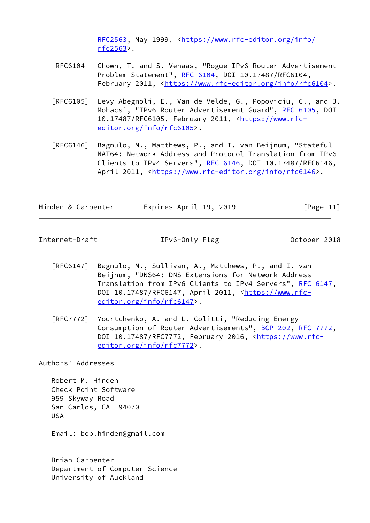[RFC2563](https://datatracker.ietf.org/doc/pdf/rfc2563), May 1999, <[https://www.rfc-editor.org/info/](https://www.rfc-editor.org/info/rfc2563) [rfc2563](https://www.rfc-editor.org/info/rfc2563)>.

- [RFC6104] Chown, T. and S. Venaas, "Rogue IPv6 Router Advertisement Problem Statement", [RFC 6104,](https://datatracker.ietf.org/doc/pdf/rfc6104) DOI 10.17487/RFC6104, February 2011, <<https://www.rfc-editor.org/info/rfc6104>>.
- [RFC6105] Levy-Abegnoli, E., Van de Velde, G., Popoviciu, C., and J. Mohacsi, "IPv6 Router Advertisement Guard", [RFC 6105,](https://datatracker.ietf.org/doc/pdf/rfc6105) DOI 10.17487/RFC6105, February 2011, [<https://www.rfc](https://www.rfc-editor.org/info/rfc6105) [editor.org/info/rfc6105](https://www.rfc-editor.org/info/rfc6105)>.
- [RFC6146] Bagnulo, M., Matthews, P., and I. van Beijnum, "Stateful NAT64: Network Address and Protocol Translation from IPv6 Clients to IPv4 Servers", [RFC 6146](https://datatracker.ietf.org/doc/pdf/rfc6146), DOI 10.17487/RFC6146, April 2011, [<https://www.rfc-editor.org/info/rfc6146](https://www.rfc-editor.org/info/rfc6146)>.

| Hinden & Carpenter | Expires April 19, 2019 | [Page 11] |
|--------------------|------------------------|-----------|
|--------------------|------------------------|-----------|

<span id="page-12-0"></span>Internet-Draft TPv6-Only Flag October 2018

- [RFC6147] Bagnulo, M., Sullivan, A., Matthews, P., and I. van Beijnum, "DNS64: DNS Extensions for Network Address Translation from IPv6 Clients to IPv4 Servers", [RFC 6147,](https://datatracker.ietf.org/doc/pdf/rfc6147) DOI 10.17487/RFC6147, April 2011, [<https://www.rfc](https://www.rfc-editor.org/info/rfc6147) [editor.org/info/rfc6147](https://www.rfc-editor.org/info/rfc6147)>.
- [RFC7772] Yourtchenko, A. and L. Colitti, "Reducing Energy Consumption of Router Advertisements", [BCP 202](https://datatracker.ietf.org/doc/pdf/bcp202), [RFC 7772,](https://datatracker.ietf.org/doc/pdf/rfc7772) DOI 10.17487/RFC7772, February 2016, [<https://www.rfc](https://www.rfc-editor.org/info/rfc7772) [editor.org/info/rfc7772](https://www.rfc-editor.org/info/rfc7772)>.

Authors' Addresses

 Robert M. Hinden Check Point Software 959 Skyway Road San Carlos, CA 94070 USA

Email: bob.hinden@gmail.com

 Brian Carpenter Department of Computer Science University of Auckland